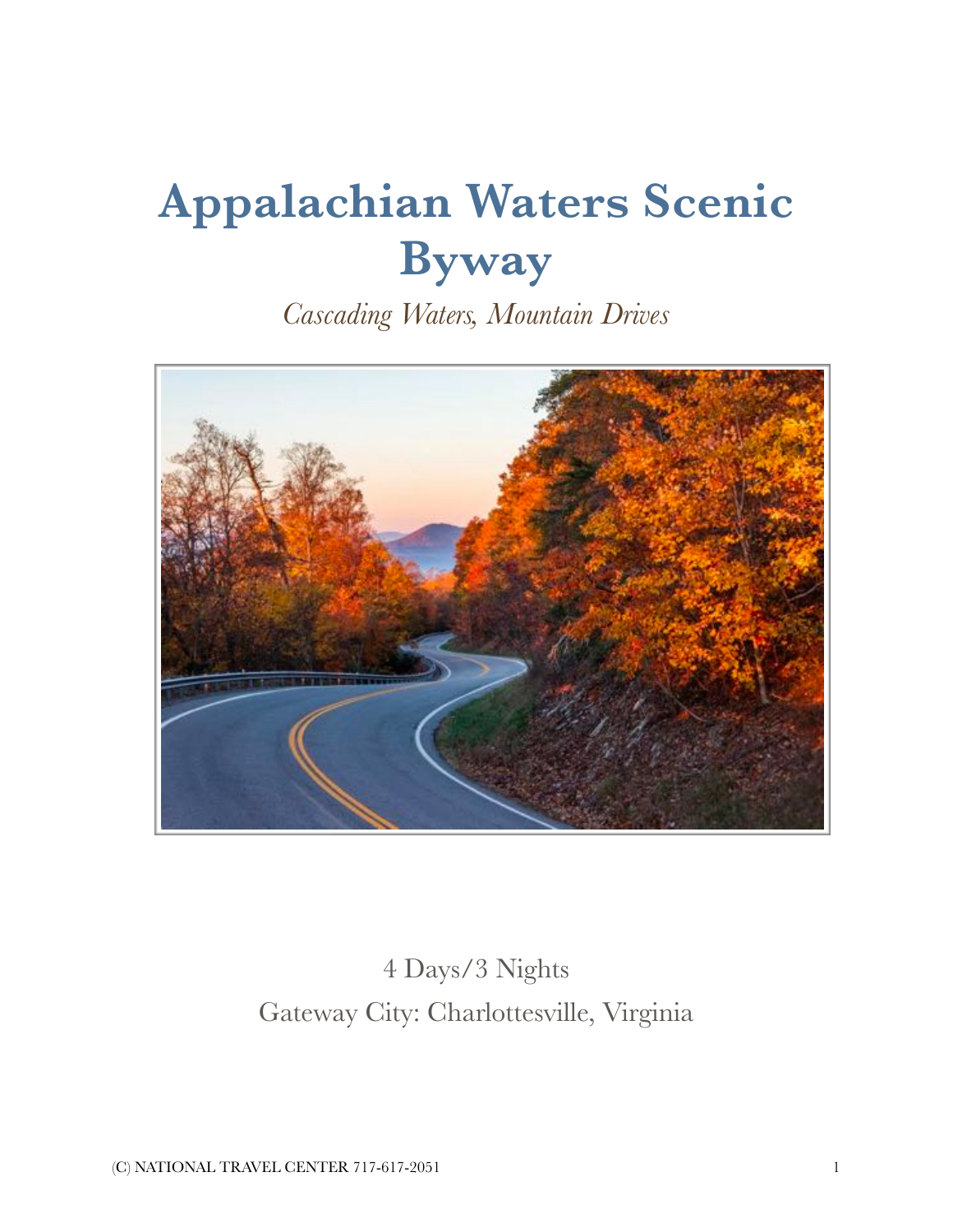# **Appalachian Waters Scenic Byway**

*Cascading Waters, Mountain Drives* 



## 4 Days/3 Nights Gateway City: Charlottesville, Virginia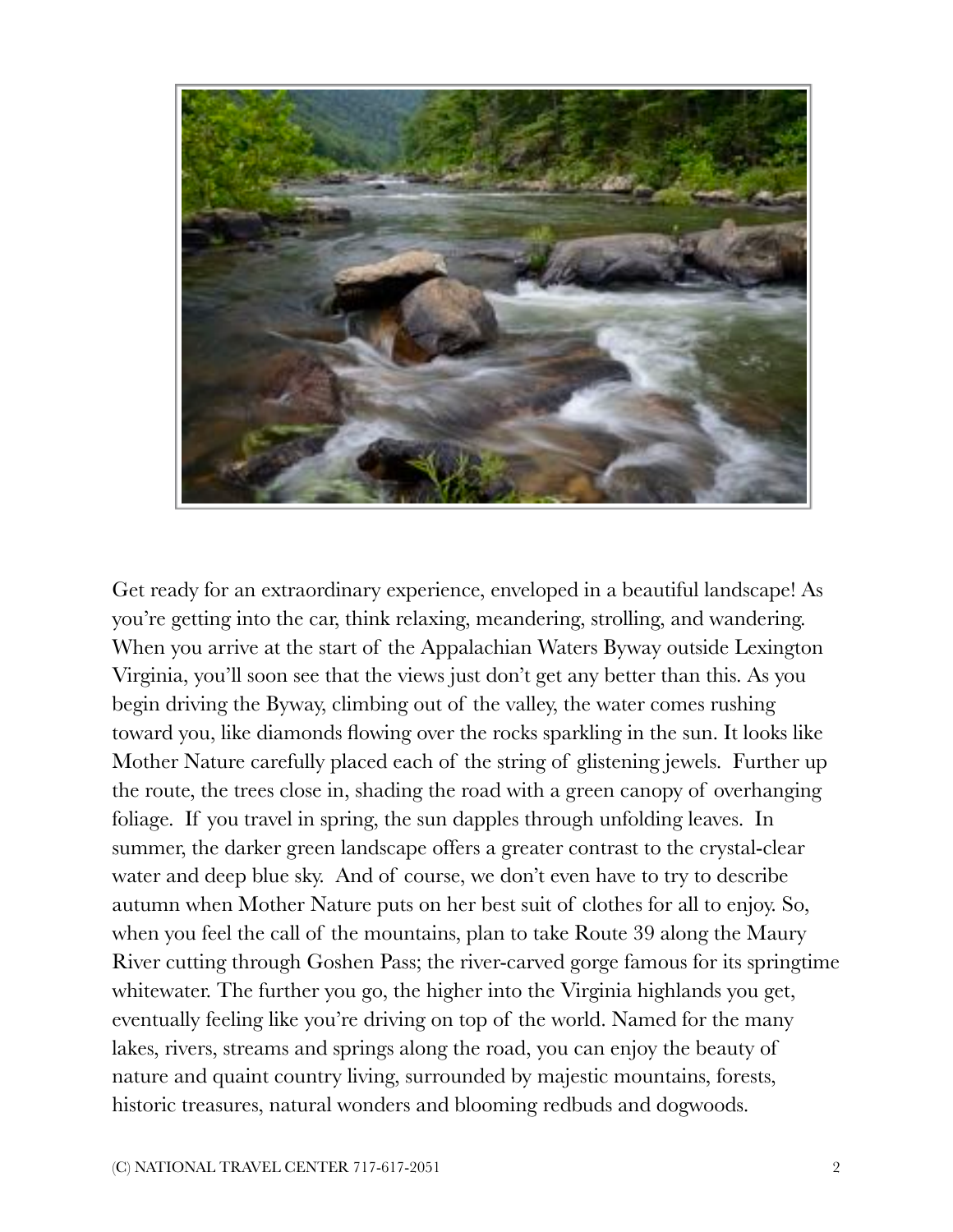

Get ready for an extraordinary experience, enveloped in a beautiful landscape! As you're getting into the car, think relaxing, meandering, strolling, and wandering. When you arrive at the start of the Appalachian Waters Byway outside Lexington Virginia, you'll soon see that the views just don't get any better than this. As you begin driving the Byway, climbing out of the valley, the water comes rushing toward you, like diamonds flowing over the rocks sparkling in the sun. It looks like Mother Nature carefully placed each of the string of glistening jewels. Further up the route, the trees close in, shading the road with a green canopy of overhanging foliage. If you travel in spring, the sun dapples through unfolding leaves. In summer, the darker green landscape offers a greater contrast to the crystal-clear water and deep blue sky. And of course, we don't even have to try to describe autumn when Mother Nature puts on her best suit of clothes for all to enjoy. So, when you feel the call of the mountains, plan to take Route 39 along the Maury River cutting through Goshen Pass; the river-carved gorge famous for its springtime whitewater. The further you go, the higher into the Virginia highlands you get, eventually feeling like you're driving on top of the world. Named for the many lakes, rivers, streams and springs along the road, you can enjoy the beauty of nature and quaint country living, surrounded by majestic mountains, forests, historic treasures, natural wonders and blooming redbuds and dogwoods.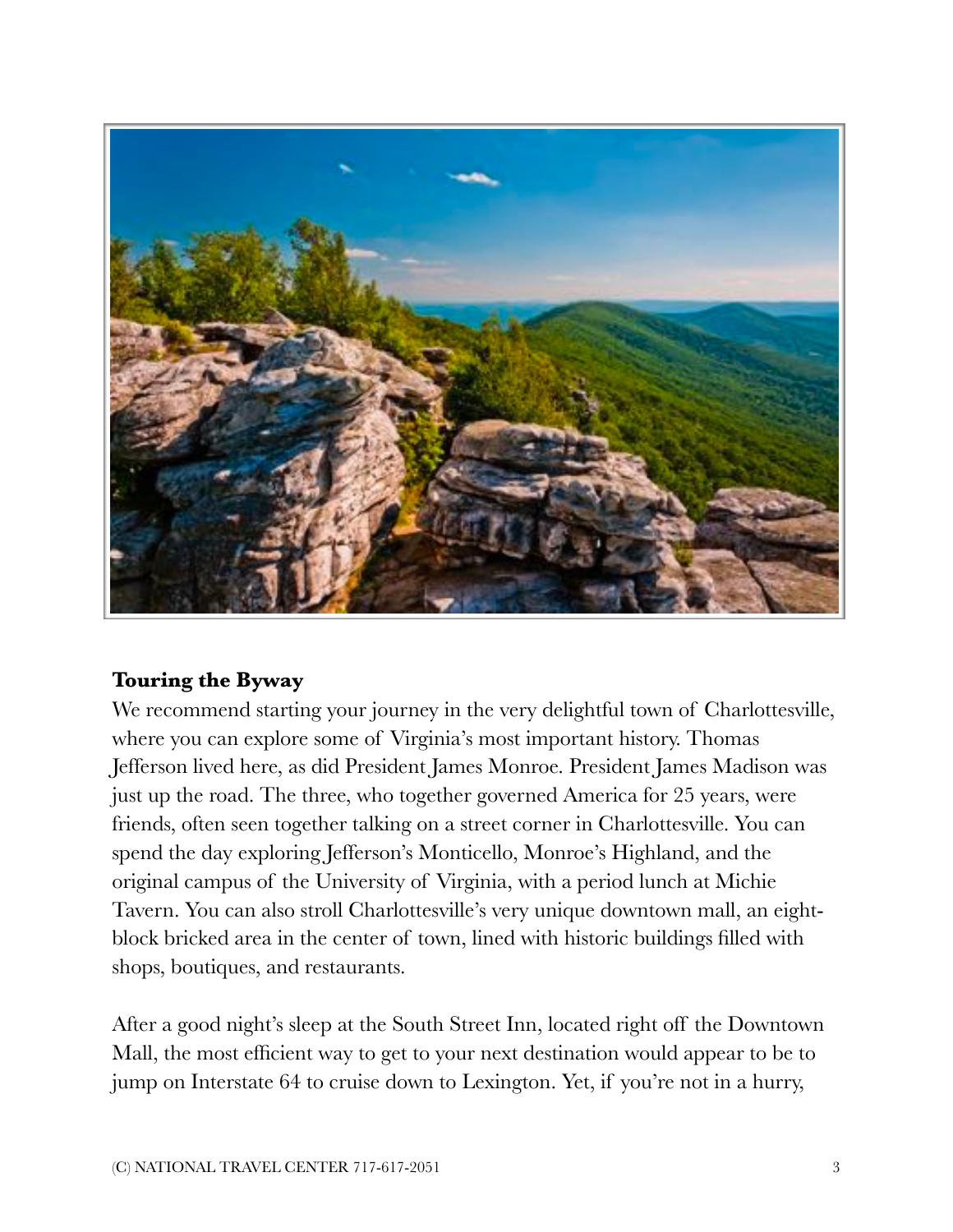

#### **Touring the Byway**

We recommend starting your journey in the very delightful town of Charlottesville, where you can explore some of Virginia's most important history. Thomas Jefferson lived here, as did President James Monroe. President James Madison was just up the road. The three, who together governed America for 25 years, were friends, often seen together talking on a street corner in Charlottesville. You can spend the day exploring Jefferson's Monticello, Monroe's Highland, and the original campus of the University of Virginia, with a period lunch at Michie Tavern. You can also stroll Charlottesville's very unique downtown mall, an eightblock bricked area in the center of town, lined with historic buildings filled with shops, boutiques, and restaurants.

After a good night's sleep at the South Street Inn, located right off the Downtown Mall, the most efficient way to get to your next destination would appear to be to jump on Interstate 64 to cruise down to Lexington. Yet, if you're not in a hurry,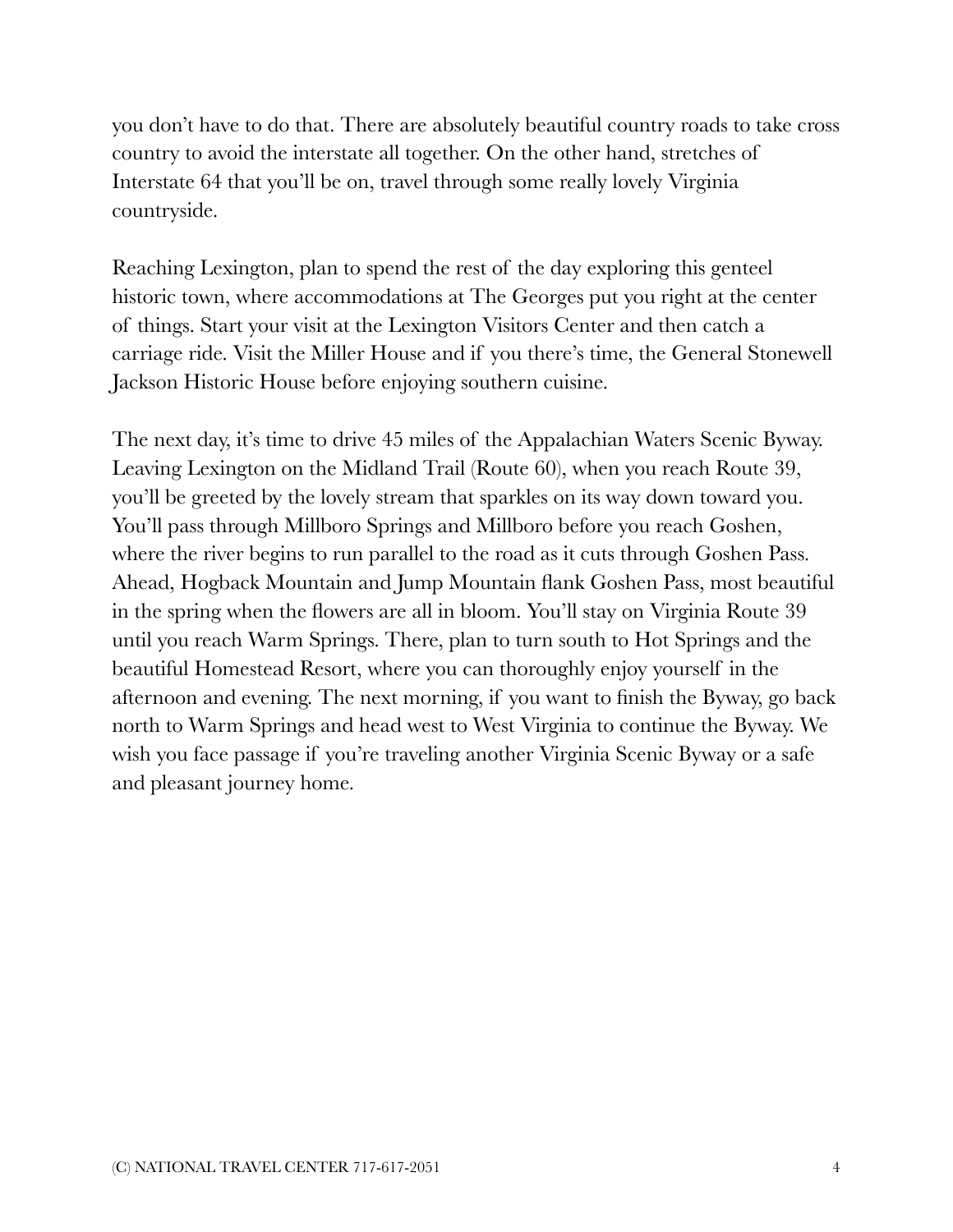you don't have to do that. There are absolutely beautiful country roads to take cross country to avoid the interstate all together. On the other hand, stretches of Interstate 64 that you'll be on, travel through some really lovely Virginia countryside.

Reaching Lexington, plan to spend the rest of the day exploring this genteel historic town, where accommodations at The Georges put you right at the center of things. Start your visit at the Lexington Visitors Center and then catch a carriage ride. Visit the Miller House and if you there's time, the General Stonewell Jackson Historic House before enjoying southern cuisine.

The next day, it's time to drive 45 miles of the Appalachian Waters Scenic Byway. Leaving Lexington on the Midland Trail (Route 60), when you reach Route 39, you'll be greeted by the lovely stream that sparkles on its way down toward you. You'll pass through Millboro Springs and Millboro before you reach Goshen, where the river begins to run parallel to the road as it cuts through Goshen Pass. Ahead, Hogback Mountain and Jump Mountain flank Goshen Pass, most beautiful in the spring when the flowers are all in bloom. You'll stay on Virginia Route 39 until you reach Warm Springs. There, plan to turn south to Hot Springs and the beautiful Homestead Resort, where you can thoroughly enjoy yourself in the afternoon and evening. The next morning, if you want to finish the Byway, go back north to Warm Springs and head west to West Virginia to continue the Byway. We wish you face passage if you're traveling another Virginia Scenic Byway or a safe and pleasant journey home.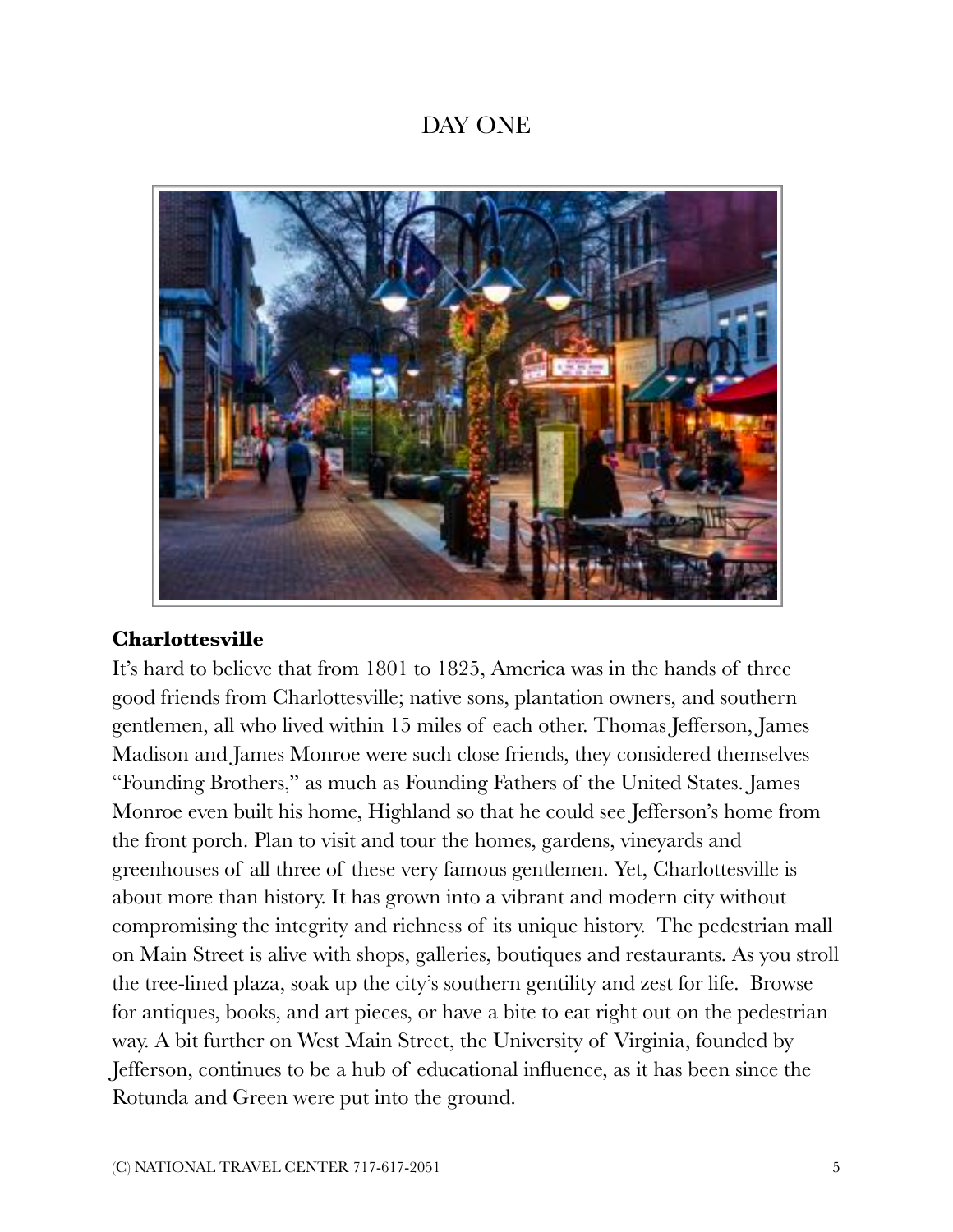## DAY ONE



#### **Charlottesville**

It's hard to believe that from 1801 to 1825, America was in the hands of three good friends from Charlottesville; native sons, plantation owners, and southern gentlemen, all who lived within 15 miles of each other. Thomas Jefferson, James Madison and James Monroe were such close friends, they considered themselves "Founding Brothers," as much as Founding Fathers of the United States. James Monroe even built his home, Highland so that he could see Jefferson's home from the front porch. Plan to visit and tour the homes, gardens, vineyards and greenhouses of all three of these very famous gentlemen. Yet, Charlottesville is about more than history. It has grown into a vibrant and modern city without compromising the integrity and richness of its unique history. The pedestrian mall on Main Street is alive with shops, galleries, boutiques and restaurants. As you stroll the tree-lined plaza, soak up the city's southern gentility and zest for life. Browse for antiques, books, and art pieces, or have a bite to eat right out on the pedestrian way. A bit further on West Main Street, the University of Virginia, founded by Jefferson, continues to be a hub of educational influence, as it has been since the Rotunda and Green were put into the ground.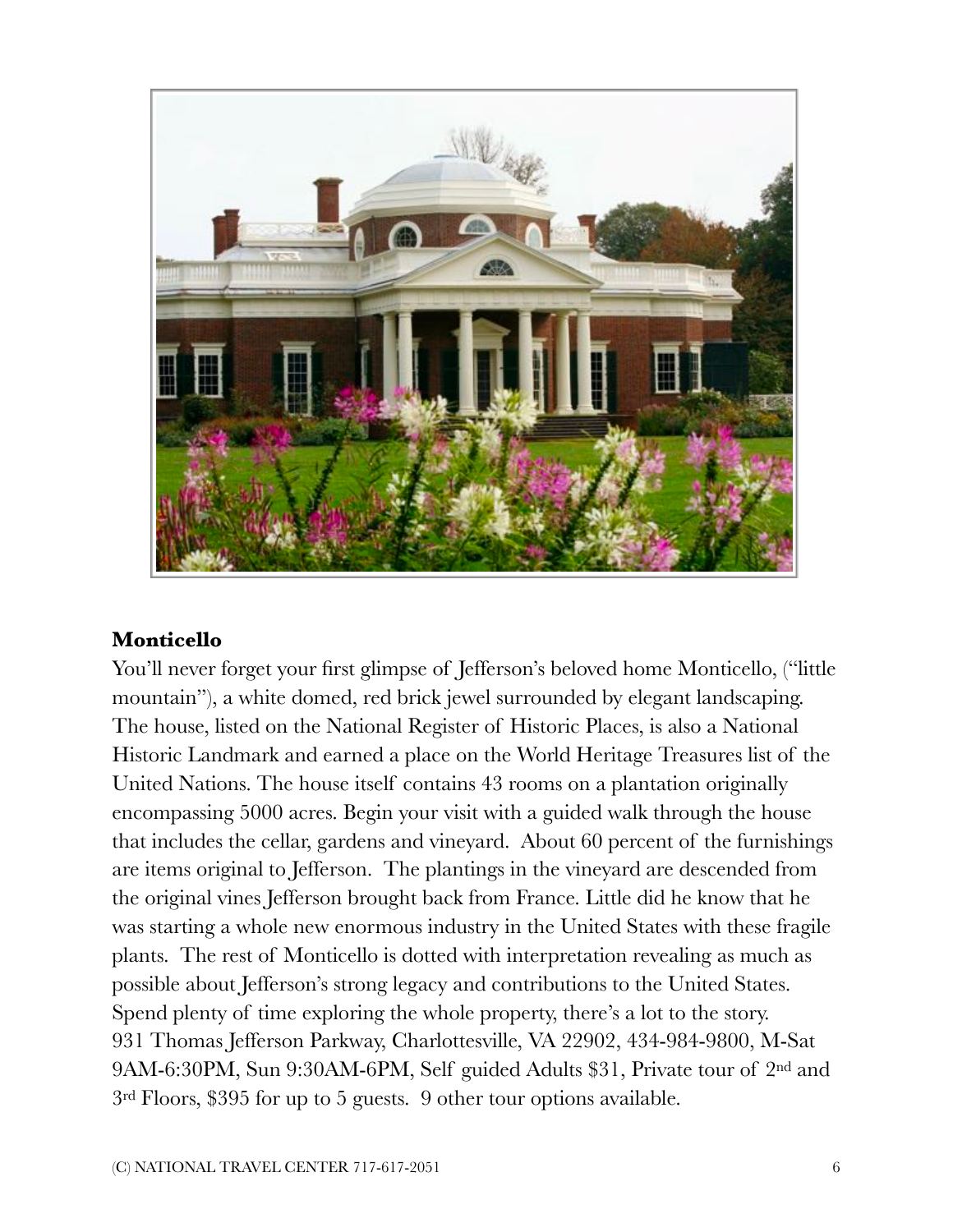

#### **Monticello**

You'll never forget your first glimpse of Jefferson's beloved home Monticello, ("little mountain"), a white domed, red brick jewel surrounded by elegant landscaping. The house, listed on the National Register of Historic Places, is also a National Historic Landmark and earned a place on the World Heritage Treasures list of the United Nations. The house itself contains 43 rooms on a plantation originally encompassing 5000 acres. Begin your visit with a guided walk through the house that includes the cellar, gardens and vineyard. About 60 percent of the furnishings are items original to Jefferson. The plantings in the vineyard are descended from the original vines Jefferson brought back from France. Little did he know that he was starting a whole new enormous industry in the United States with these fragile plants. The rest of Monticello is dotted with interpretation revealing as much as possible about Jefferson's strong legacy and contributions to the United States. Spend plenty of time exploring the whole property, there's a lot to the story. 931 Thomas Jefferson Parkway, Charlottesville, VA 22902, 434-984-9800, M-Sat 9AM-6:30PM, Sun 9:30AM-6PM, Self guided Adults \$31, Private tour of 2nd and 3rd Floors, \$395 for up to 5 guests. 9 other tour options available.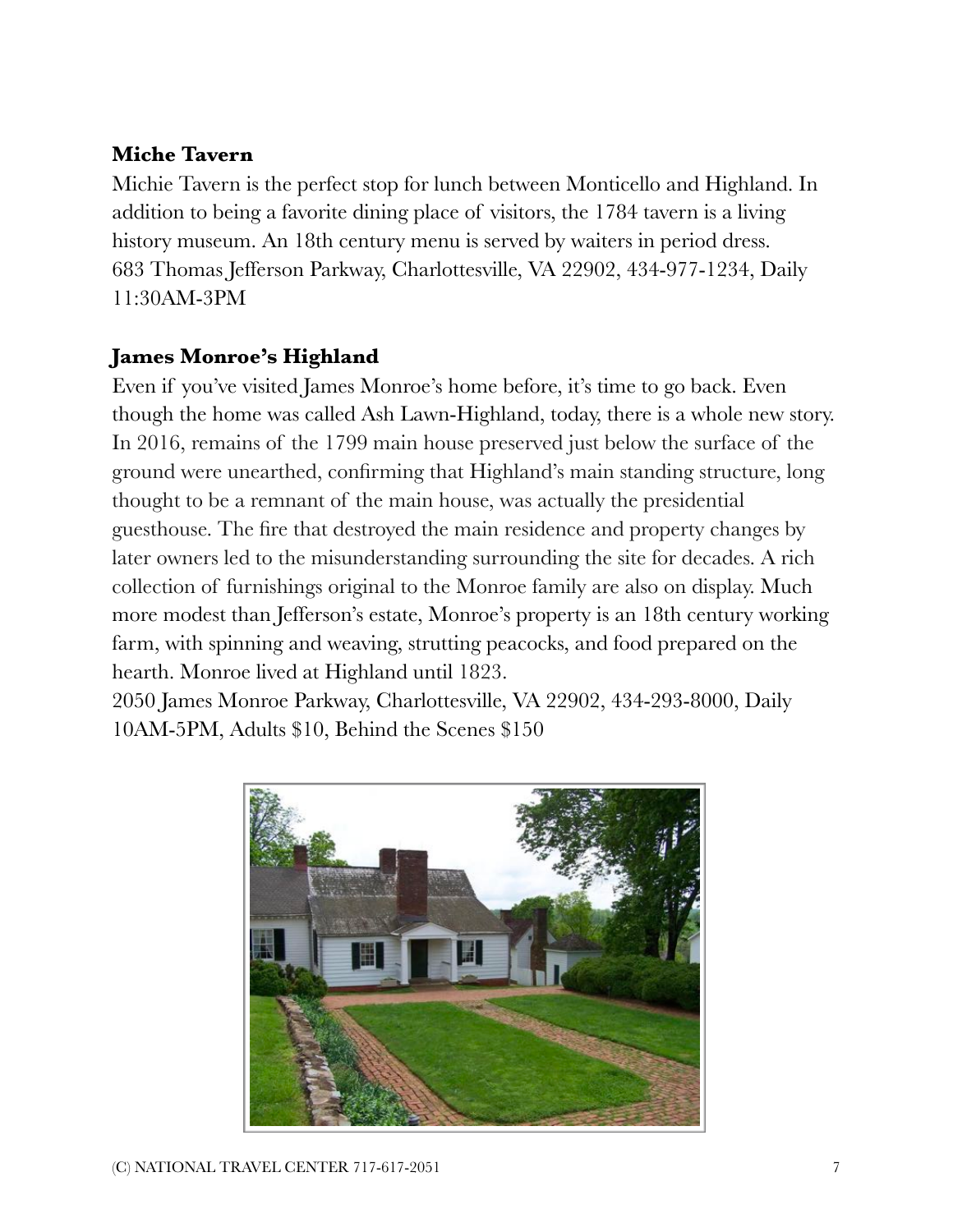#### **Miche Tavern**

Michie Tavern is the perfect stop for lunch between Monticello and Highland. In addition to being a favorite dining place of visitors, the 1784 tavern is a living history museum. An 18th century menu is served by waiters in period dress. 683 Thomas Jefferson Parkway, Charlottesville, VA 22902, 434-977-1234, Daily 11:30AM-3PM

#### **James Monroe's Highland**

Even if you've visited James Monroe's home before, it's time to go back. Even though the home was called Ash Lawn-Highland, today, there is a whole new story. In 2016, remains of the 1799 main house preserved just below the surface of the ground were unearthed, confirming that Highland's main standing structure, long thought to be a remnant of the main house, was actually the presidential guesthouse. The fire that destroyed the main residence and property changes by later owners led to the misunderstanding surrounding the site for decades. A rich collection of furnishings original to the Monroe family are also on display. Much more modest than Jefferson's estate, Monroe's property is an 18th century working farm, with spinning and weaving, strutting peacocks, and food prepared on the hearth. Monroe lived at Highland until 1823.

2050 James Monroe Parkway, Charlottesville, VA 22902, 434-293-8000, Daily 10AM-5PM, Adults \$10, Behind the Scenes \$150

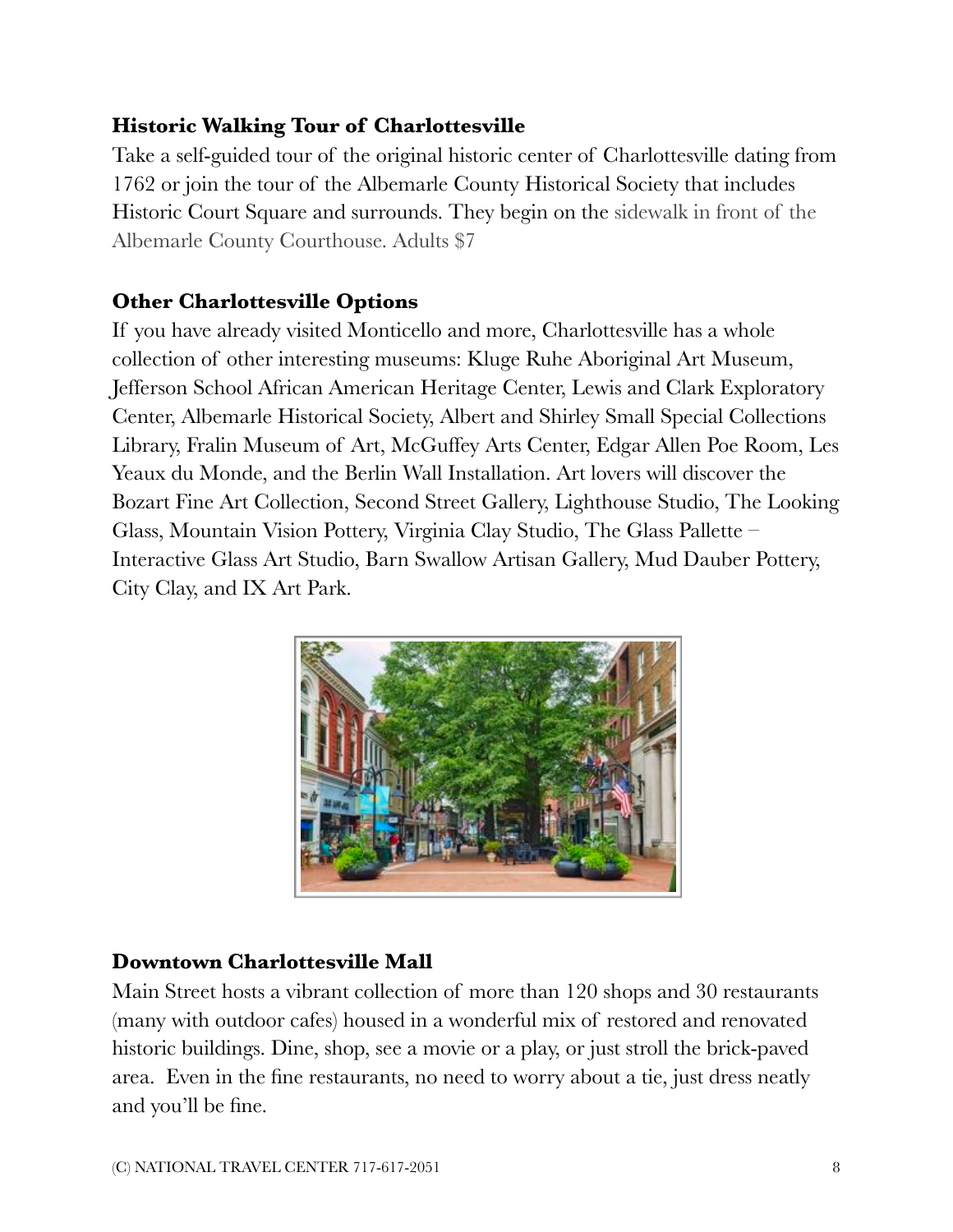#### **Historic Walking Tour of Charlottesville**

Take a self-guided tour of the original historic center of Charlottesville dating from 1762 or join the tour of the Albemarle County Historical Society that includes Historic Court Square and surrounds. They begin on the sidewalk in front of the Albemarle County Courthouse. Adults \$7

## **Other Charlottesville Options**

If you have already visited Monticello and more, Charlottesville has a whole collection of other interesting museums: Kluge Ruhe Aboriginal Art Museum, Jefferson School African American Heritage Center, Lewis and Clark Exploratory Center, Albemarle Historical Society, Albert and Shirley Small Special Collections Library, Fralin Museum of Art, McGuffey Arts Center, Edgar Allen Poe Room, Les Yeaux du Monde, and the Berlin Wall Installation. Art lovers will discover the Bozart Fine Art Collection, Second Street Gallery, Lighthouse Studio, The Looking Glass, Mountain Vision Pottery, Virginia Clay Studio, The Glass Pallette – Interactive Glass Art Studio, Barn Swallow Artisan Gallery, Mud Dauber Pottery, City Clay, and IX Art Park.



### **Downtown Charlottesville Mall**

Main Street hosts a vibrant collection of more than 120 shops and 30 restaurants (many with outdoor cafes) housed in a wonderful mix of restored and renovated historic buildings. Dine, shop, see a movie or a play, or just stroll the brick-paved area. Even in the fine restaurants, no need to worry about a tie, just dress neatly and you'll be fine.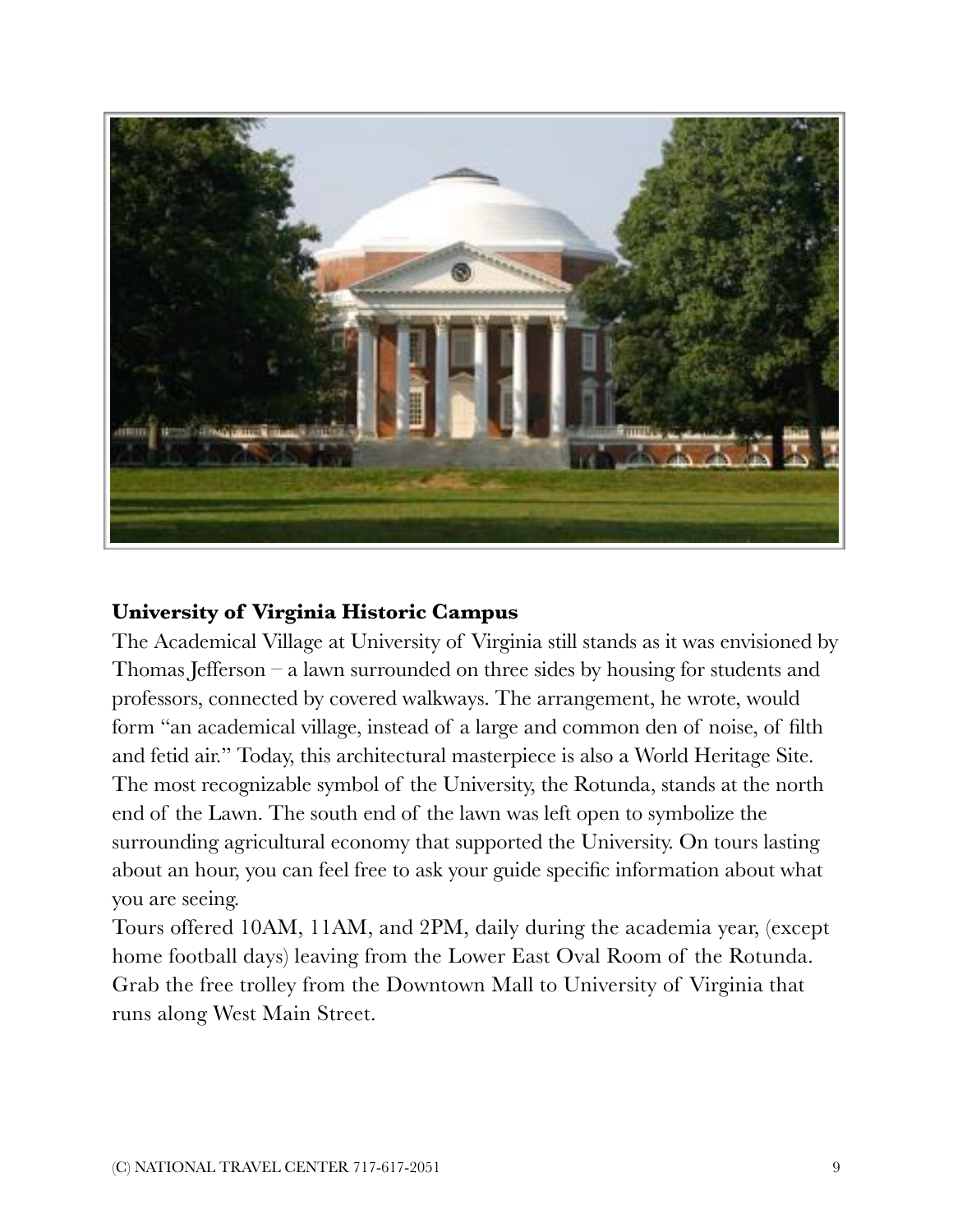

#### **University of Virginia Historic Campus**

The Academical Village at University of Virginia still stands as it was envisioned by Thomas Jefferson – a lawn surrounded on three sides by housing for students and professors, connected by covered walkways. The arrangement, he wrote, would form "an academical village, instead of a large and common den of noise, of filth and fetid air." Today, this architectural masterpiece is also a World Heritage Site. The most recognizable symbol of the University, the Rotunda, stands at the north end of the Lawn. The south end of the lawn was left open to symbolize the surrounding agricultural economy that supported the University. On tours lasting about an hour, you can feel free to ask your guide specific information about what you are seeing.

Tours offered 10AM, 11AM, and 2PM, daily during the academia year, (except home football days) leaving from the Lower East Oval Room of the Rotunda. Grab the free trolley from the Downtown Mall to University of Virginia that runs along West Main Street.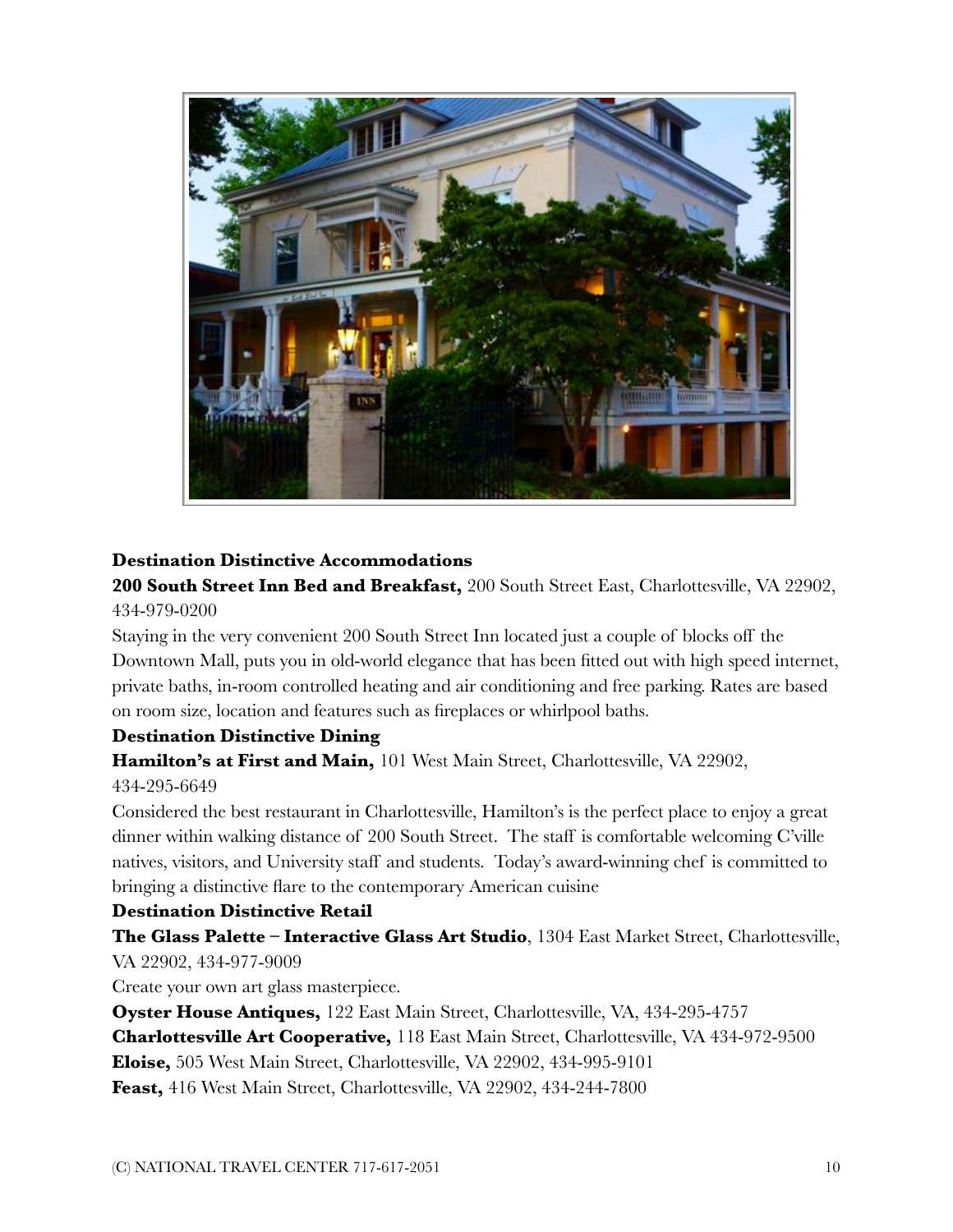

#### **Destination Distinctive Accommodations**

**200 South Street Inn Bed and Breakfast,** 200 South Street East, Charlottesville, VA 22902, 434-979-0200

Staying in the very convenient 200 South Street Inn located just a couple of blocks off the Downtown Mall, puts you in old-world elegance that has been fitted out with high speed internet, private baths, in-room controlled heating and air conditioning and free parking. Rates are based on room size, location and features such as fireplaces or whirlpool baths.

#### **Destination Distinctive Dining**

**Hamilton's at First and Main,** 101 West Main Street, Charlottesville, VA 22902, 434-295-6649

Considered the best restaurant in Charlottesville, Hamilton's is the perfect place to enjoy a great

dinner within walking distance of 200 South Street. The staff is comfortable welcoming C'ville natives, visitors, and University staff and students. Today's award-winning chef is committed to bringing a distinctive flare to the contemporary American cuisine

#### **Destination Distinctive Retail**

**The Glass Palette – Interactive Glass Art Studio**, 1304 East Market Street, Charlottesville, VA 22902, 434-977-9009

Create your own art glass masterpiece.

**Oyster House Antiques,** 122 East Main Street, Charlottesville, VA, 434-295-4757 **Charlottesville Art Cooperative,** 118 East Main Street, Charlottesville, VA 434-972-9500 **Eloise,** 505 West Main Street, Charlottesville, VA 22902, 434-995-9101 **Feast,** 416 West Main Street, Charlottesville, VA 22902, 434-244-7800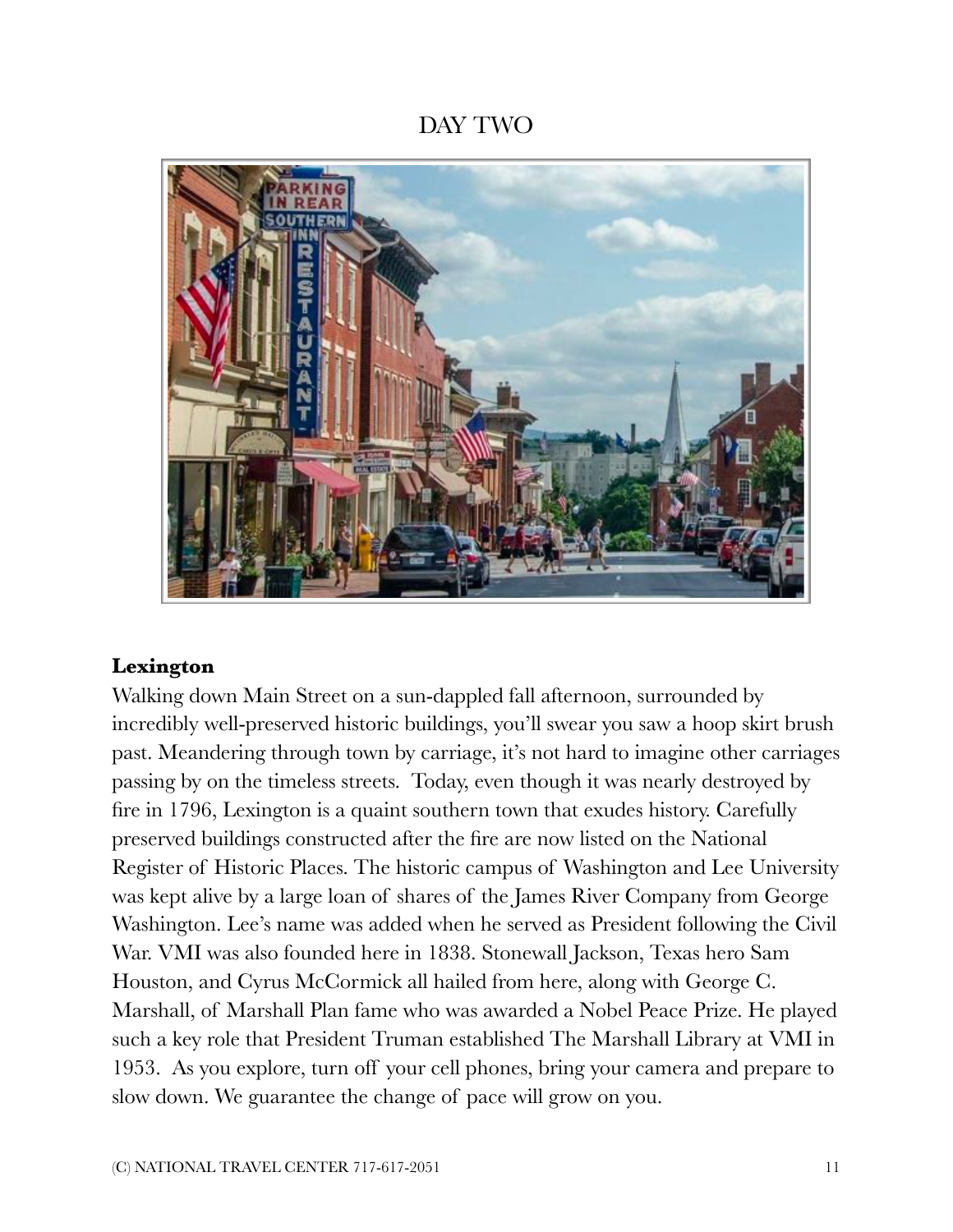## DAY TWO



#### **Lexington**

Walking down Main Street on a sun-dappled fall afternoon, surrounded by incredibly well-preserved historic buildings, you'll swear you saw a hoop skirt brush past. Meandering through town by carriage, it's not hard to imagine other carriages passing by on the timeless streets. Today, even though it was nearly destroyed by fire in 1796, Lexington is a quaint southern town that exudes history. Carefully preserved buildings constructed after the fire are now listed on the National Register of Historic Places. The historic campus of Washington and Lee University was kept alive by a large loan of shares of the James River Company from George Washington. Lee's name was added when he served as President following the Civil War. VMI was also founded here in 1838. Stonewall Jackson, Texas hero Sam Houston, and Cyrus McCormick all hailed from here, along with George C. Marshall, of Marshall Plan fame who was awarded a Nobel Peace Prize. He played such a key role that President Truman established The Marshall Library at VMI in 1953. As you explore, turn off your cell phones, bring your camera and prepare to slow down. We guarantee the change of pace will grow on you.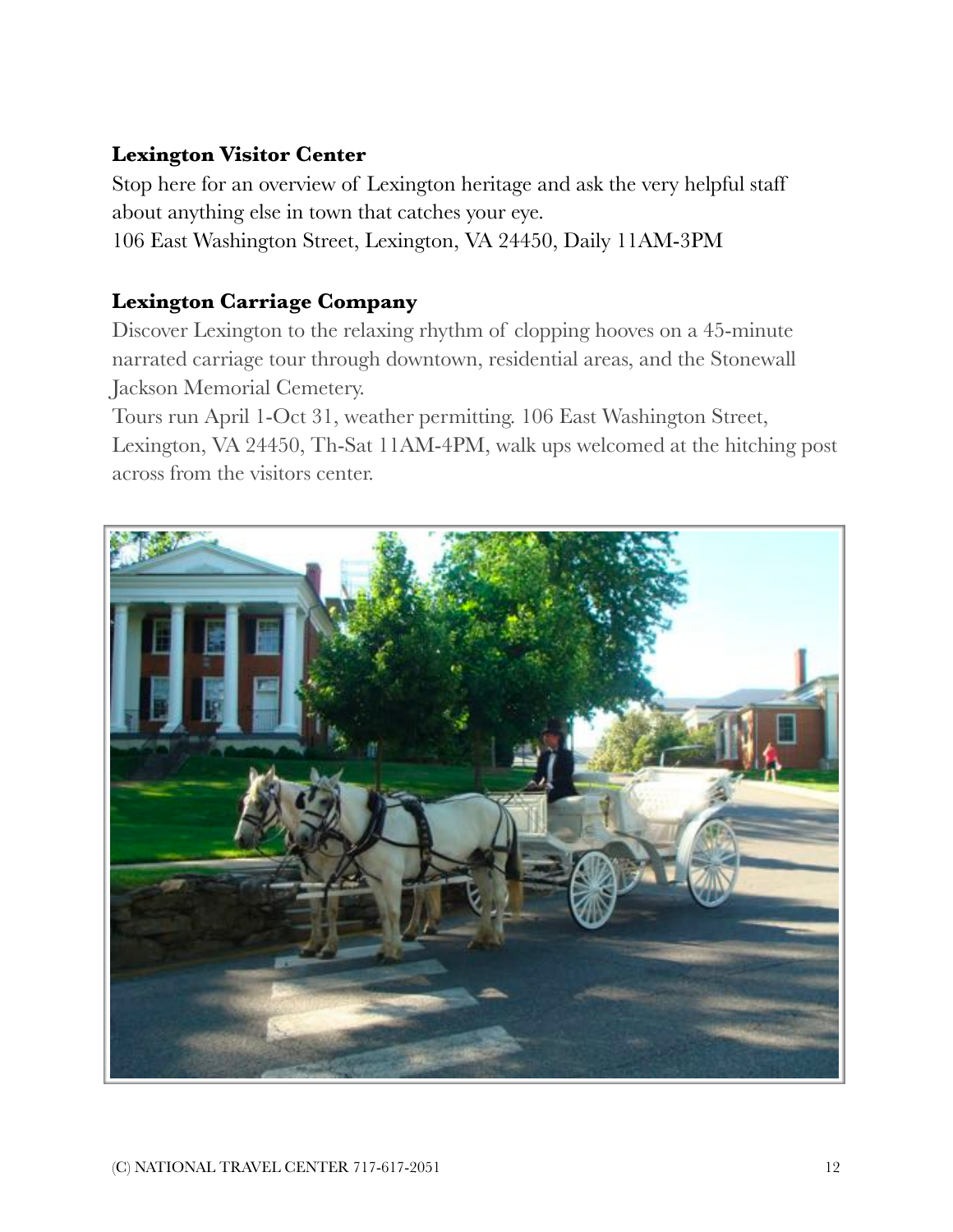#### **Lexington Visitor Center**

Stop here for an overview of Lexington heritage and ask the very helpful staff about anything else in town that catches your eye. 106 East Washington Street, Lexington, VA 24450, Daily 11AM-3PM

#### **Lexington Carriage Company**

Discover Lexington to the relaxing rhythm of clopping hooves on a 45-minute narrated carriage tour through downtown, residential areas, and the Stonewall Jackson Memorial Cemetery.

Tours run April 1-Oct 31, weather permitting. 106 East Washington Street, Lexington, VA 24450, Th-Sat 11AM-4PM, walk ups welcomed at the hitching post across from the visitors center.

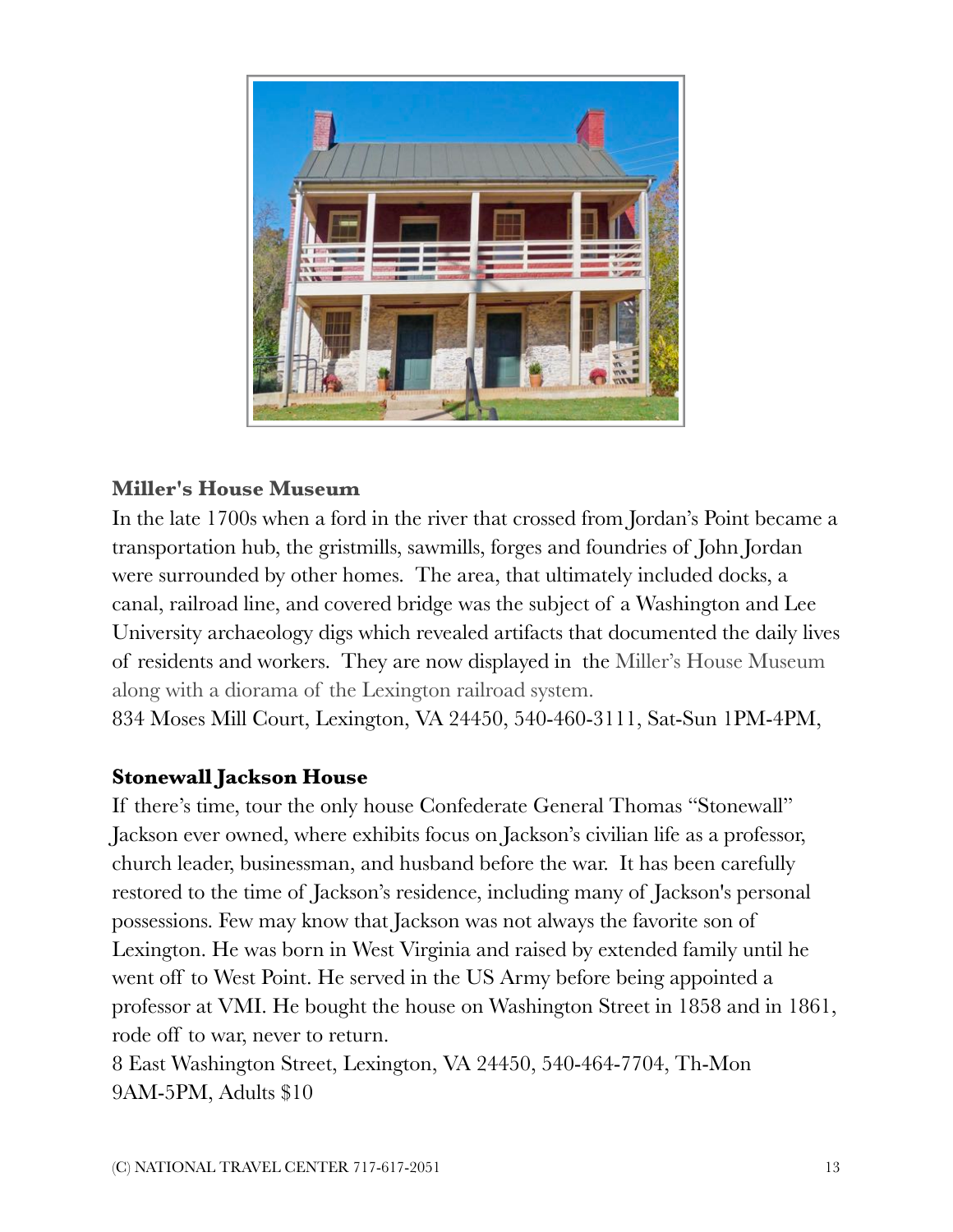

#### **Miller's House Museum**

In the late 1700s when a ford in the river that crossed from Jordan's Point became a transportation hub, the gristmills, sawmills, forges and foundries of John Jordan were surrounded by other homes. The area, that ultimately included docks, a canal, railroad line, and covered bridge was the subject of a Washington and Lee University archaeology digs which revealed artifacts that documented the daily lives of residents and workers. They are now displayed in the Miller's House Museum along with a diorama of the Lexington railroad system.

834 Moses Mill Court, Lexington, VA 24450, 540-460-3111, Sat-Sun 1PM-4PM,

#### **Stonewall Jackson House**

If there's time, tour the only house Confederate General Thomas "Stonewall" Jackson ever owned, where exhibits focus on Jackson's civilian life as a professor, church leader, businessman, and husband before the war. It has been carefully restored to the time of Jackson's residence, including many of Jackson's personal possessions. Few may know that Jackson was not always the favorite son of Lexington. He was born in West Virginia and raised by extended family until he went off to West Point. He served in the US Army before being appointed a professor at VMI. He bought the house on Washington Street in 1858 and in 1861, rode off to war, never to return.

8 East Washington Street, Lexington, VA 24450, 540-464-7704, Th-Mon 9AM-5PM, Adults \$10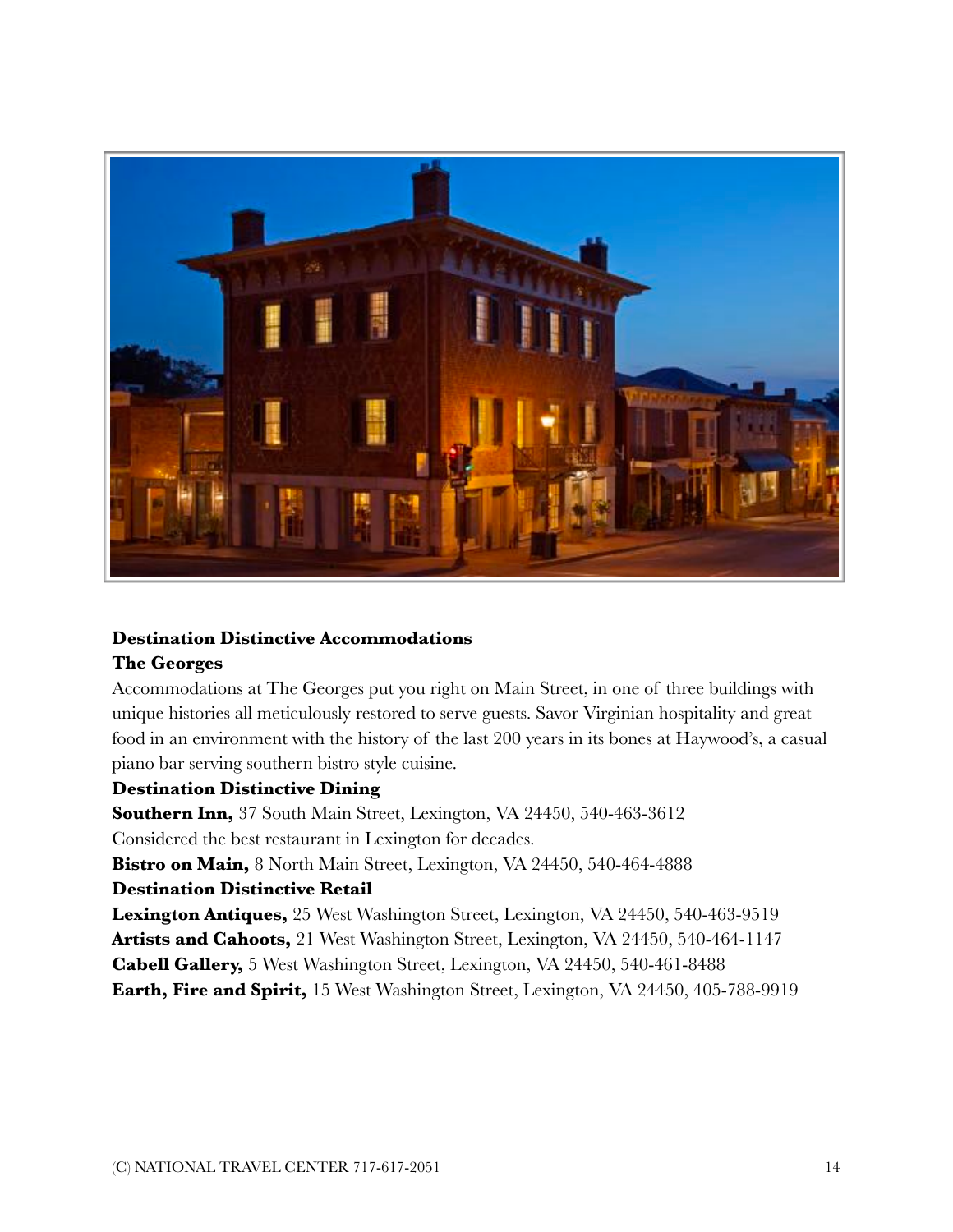

#### **Destination Distinctive Accommodations**

#### **The Georges**

Accommodations at The Georges put you right on Main Street, in one of three buildings with unique histories all meticulously restored to serve guests. Savor Virginian hospitality and great food in an environment with the history of the last 200 years in its bones at Haywood's, a casual piano bar serving southern bistro style cuisine.

#### **Destination Distinctive Dining**

**Southern Inn,** 37 South Main Street, Lexington, VA 24450, 540-463-3612 Considered the best restaurant in Lexington for decades. **Bistro on Main,** 8 North Main Street, Lexington, VA 24450, 540-464-4888

#### **Destination Distinctive Retail**

**Lexington Antiques,** 25 West Washington Street, Lexington, VA 24450, 540-463-9519 **Artists and Cahoots,** 21 West Washington Street, Lexington, VA 24450, 540-464-1147 **Cabell Gallery,** 5 West Washington Street, Lexington, VA 24450, 540-461-8488 **Earth, Fire and Spirit,** 15 West Washington Street, Lexington, VA 24450, 405-788-9919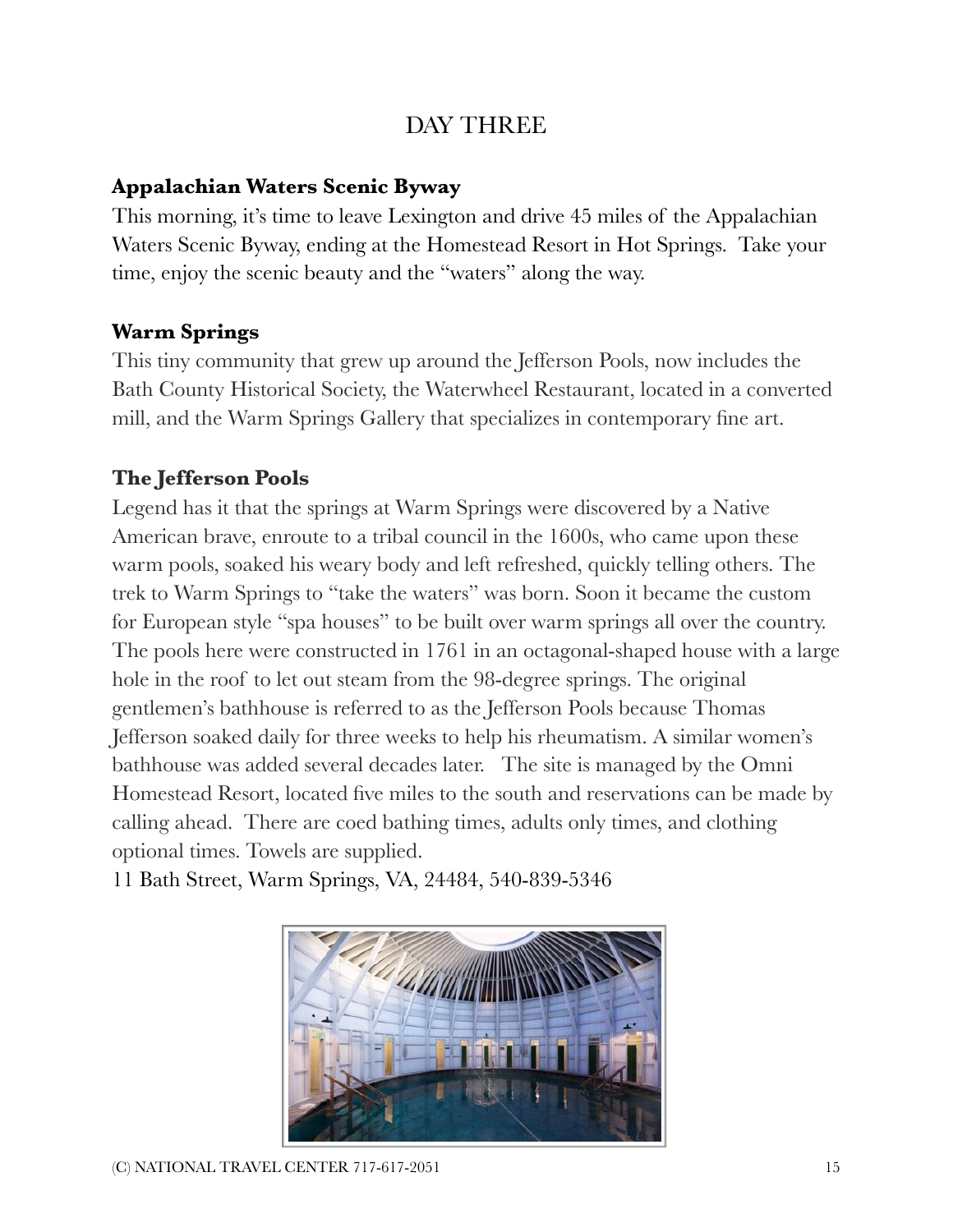## DAY THREE

## **Appalachian Waters Scenic Byway**

This morning, it's time to leave Lexington and drive 45 miles of the Appalachian Waters Scenic Byway, ending at the Homestead Resort in Hot Springs. Take your time, enjoy the scenic beauty and the "waters" along the way.

## **Warm Springs**

This tiny community that grew up around the Jefferson Pools, now includes the Bath County Historical Society, the Waterwheel Restaurant, located in a converted mill, and the Warm Springs Gallery that specializes in contemporary fine art.

## **The Jefferson Pools**

Legend has it that the springs at Warm Springs were discovered by a Native American brave, enroute to a tribal council in the 1600s, who came upon these warm pools, soaked his weary body and left refreshed, quickly telling others. The trek to Warm Springs to "take the waters" was born. Soon it became the custom for European style "spa houses" to be built over warm springs all over the country. The pools here were constructed in 1761 in an octagonal-shaped house with a large hole in the roof to let out steam from the 98-degree springs. The original gentlemen's bathhouse is referred to as the Jefferson Pools because Thomas Jefferson soaked daily for three weeks to help his rheumatism. A similar women's bathhouse was added several decades later. The site is managed by the Omni Homestead Resort, located five miles to the south and reservations can be made by calling ahead. There are coed bathing times, adults only times, and clothing optional times. Towels are supplied.



11 Bath Street, Warm Springs, VA, 24484, 540-839-5346